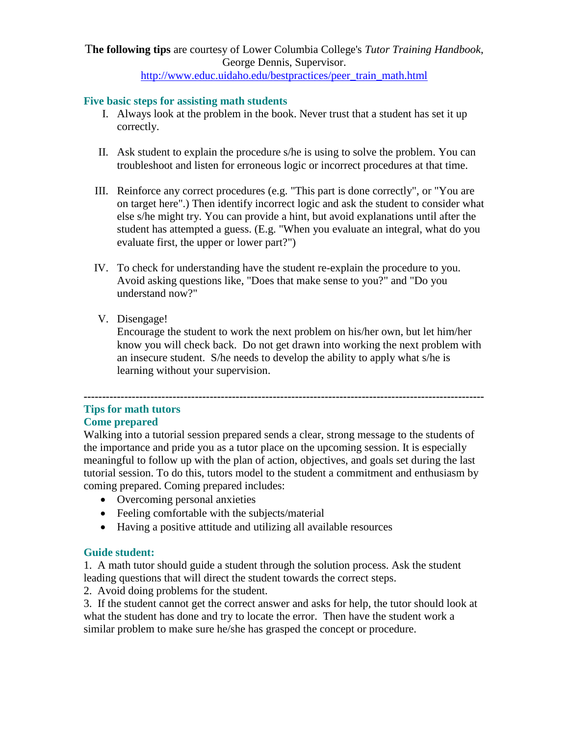# T**he following tips** are courtesy of Lower Columbia College's *Tutor Training Handbook*, George Dennis, Supervisor.

## [http://www.educ.uidaho.edu/bestpractices/peer\\_train\\_math.html](http://www.educ.uidaho.edu/bestpractices/peer_train_math.html)

## **Five basic steps for assisting math students**

- I. Always look at the problem in the book. Never trust that a student has set it up correctly.
- II. Ask student to explain the procedure s/he is using to solve the problem. You can troubleshoot and listen for erroneous logic or incorrect procedures at that time.
- III. Reinforce any correct procedures (e.g. "This part is done correctly", or "You are on target here".) Then identify incorrect logic and ask the student to consider what else s/he might try. You can provide a hint, but avoid explanations until after the student has attempted a guess. (E.g. "When you evaluate an integral, what do you evaluate first, the upper or lower part?")
- IV. To check for understanding have the student re-explain the procedure to you. Avoid asking questions like, "Does that make sense to you?" and "Do you understand now?"
- V. Disengage!

Encourage the student to work the next problem on his/her own, but let him/her know you will check back. Do not get drawn into working the next problem with an insecure student. S/he needs to develop the ability to apply what s/he is learning without your supervision.

### **------------------------------------------------------------------------------------------------------------ Tips for math tutors Come prepared**

Walking into a tutorial session prepared sends a clear, strong message to the students of the importance and pride you as a tutor place on the upcoming session. It is especially meaningful to follow up with the plan of action, objectives, and goals set during the last tutorial session. To do this, tutors model to the student a commitment and enthusiasm by coming prepared. Coming prepared includes:

- Overcoming personal anxieties
- Feeling comfortable with the subjects/material
- Having a positive attitude and utilizing all available resources

## **Guide student:**

1. A math tutor should guide a student through the solution process. Ask the student leading questions that will direct the student towards the correct steps.

2. Avoid doing problems for the student.

3. If the student cannot get the correct answer and asks for help, the tutor should look at what the student has done and try to locate the error. Then have the student work a similar problem to make sure he/she has grasped the concept or procedure.